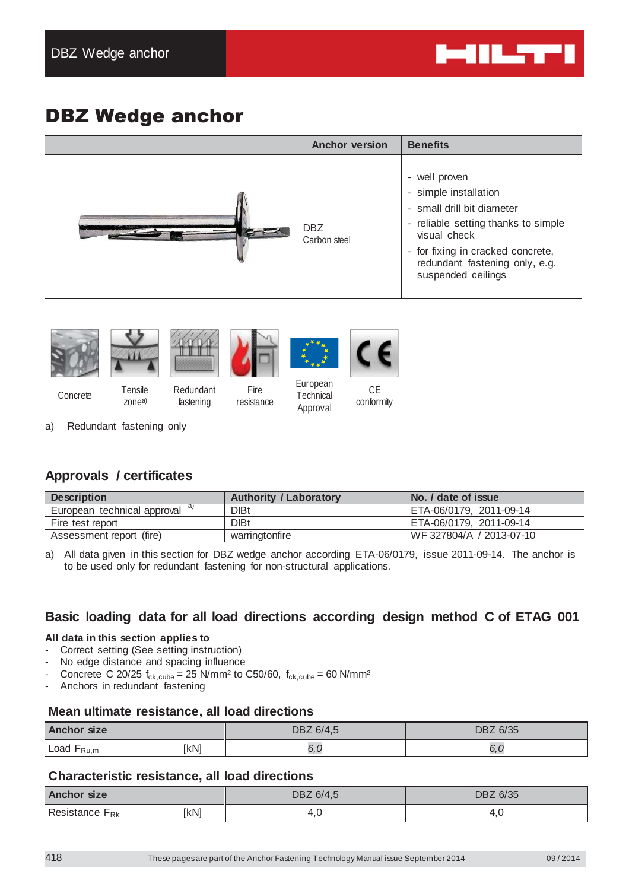

# DBZ Wedge anchor

| <b>Anchor version</b> | <b>Benefits</b>                                                                                                                                                                                                          |
|-----------------------|--------------------------------------------------------------------------------------------------------------------------------------------------------------------------------------------------------------------------|
| DBZ<br>Carbon steel   | - well proven<br>- simple installation<br>- small drill bit diameter<br>- reliable setting thanks to simple<br>visual check<br>- for fixing in cracked concrete,<br>redundant fastening only, e.g.<br>suspended ceilings |











Concrete Tensile

zonea) Redundant fastening

Fire resistance

European **Technical** Approval

 $C_{\text{F}}$ conformity

a) Redundant fastening only

# **Approvals / certificates**

| <b>Description</b>          | <b>Authority / Laboratory</b> | No. / date of issue      |
|-----------------------------|-------------------------------|--------------------------|
| European technical approval | <b>DIBt</b>                   | ETA-06/0179, 2011-09-14  |
| Fire test report            | <b>DIBt</b>                   | ETA-06/0179, 2011-09-14  |
| Assessment report (fire)    | warringtonfire                | WF 327804/A / 2013-07-10 |

a) All data given in this section for DBZ wedge anchor according ETA-06/0179, issue 2011-09-14. The anchor is to be used only for redundant fastening for non-structural applications.

# **Basic loading data for all load directions according design method C of ETAG 001**

#### **All data in this section applies to**

- Correct setting (See setting instruction)
- No edge distance and spacing influence
- Concrete C 20/25  $f_{ck,cube} = 25$  N/mm<sup>2</sup> to C50/60,  $f_{ck,cube} = 60$  N/mm<sup>2</sup>
- Anchors in redundant fastening

#### **Mean ultimate resistance, all load directions**

| Anchor size     |      | DBZ 6/35<br>DBZ 6/4,5 |      |
|-----------------|------|-----------------------|------|
| Load $F_{Ru,m}$ | [kN] |                       | ο, ι |

#### **Characteristic resistance, all load directions**

| <b>Anchor size</b>         |      | DBZ 6/4,5 | DBZ 6/35 |  |
|----------------------------|------|-----------|----------|--|
| Resistance F <sub>Rk</sub> | [kN] |           | 7. J     |  |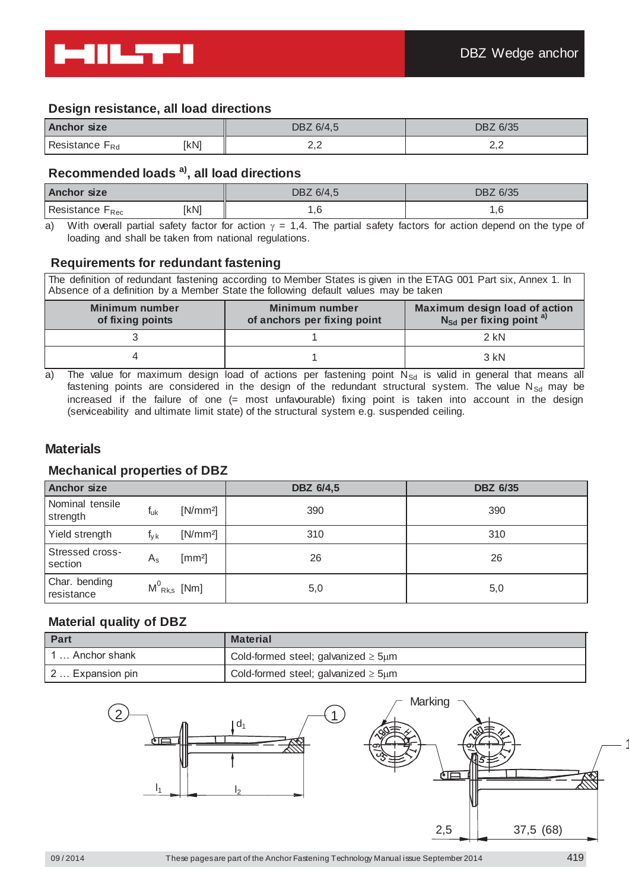

#### **Design resistance, all load directions**

| <b>Anchor size</b>         |      | DBZ 6/4,5                | DBZ 6/35 |  |
|----------------------------|------|--------------------------|----------|--|
| Resistance F <sub>Rd</sub> | [kN] | $\leftarrow, \leftarrow$ | ∠,∠      |  |

#### **Recommended loads a), all load directions**

| <b>Anchor size</b>          |      | DBZ 6/4,5 | DBZ 6/35 |  |
|-----------------------------|------|-----------|----------|--|
| Resistance F <sub>Rec</sub> | [kN] | .u        | ۰.       |  |

a) With overall partial safety factor for action  $y = 1.4$ . The partial safety factors for action depend on the type of loading and shall be taken from national regulations.

#### **Requirements for redundant fastening**

The definition of redundant fastening according to Member States is given in the ETAG 001 Part six, Annex 1. In Absence of a definition by a Member State the following default values may be taken

| Minimum number<br>of fixing points | Minimum number<br>of anchors per fixing point | Maximum design load of action<br>$N_{\rm Sd}$ per fixing point $a$ ) |
|------------------------------------|-----------------------------------------------|----------------------------------------------------------------------|
|                                    |                                               | $2$ kN                                                               |
|                                    |                                               | $3$ kN                                                               |

a) The value for maximum design load of actions per fastening point  $N_{\rm Sd}$  is valid in general that means all fastening points are considered in the design of the redundant structural system. The value  $N_{\text{Sd}}$  may be increased if the failure of one (= most unfavourable) fixing point is taken into account in the design (serviceability and ultimate limit state) of the structural system e.g. suspended ceiling.

#### **Materials**

#### **Mechanical properties of DBZ**

| <b>Anchor size</b>          |                 |                   | <b>DBZ 6/4,5</b> | <b>DBZ 6/35</b> |
|-----------------------------|-----------------|-------------------|------------------|-----------------|
| Nominal tensile<br>strength | t <sub>uk</sub> | $[N/mm^2]$        | 390              | 390             |
| Yield strength              | $I_{\rm V}$ k   | $[N/mm^2]$        | 310              | 310             |
| Stressed cross-<br>section  | $A_{\rm s}$     | $\text{[mm2]}$    | 26               | 26              |
| Char. bending<br>resistance |                 | $M^0_{Rk,s}$ [Nm] | 5,0              | 5,0             |

#### **Material quality of DBZ**

| Part              | <b>Material</b>                                |
|-------------------|------------------------------------------------|
| ' … Anchor shank_ | Cold-formed steel; galvanized $\geq$ 5um       |
| 2  Expansion pin  | Cold-formed steel; galvanized $\geq$ 5 $\mu$ m |

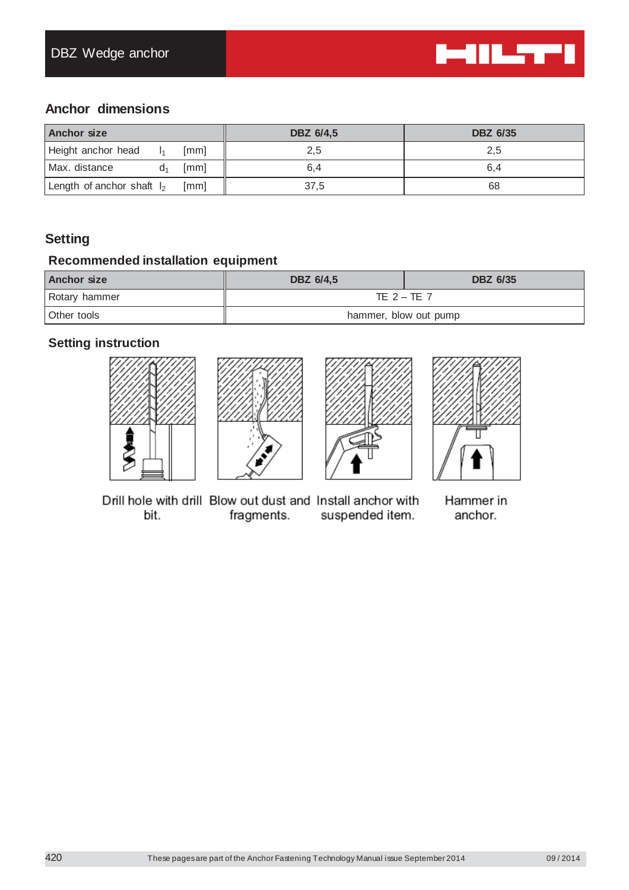

# **Anchor dimensions**

| <b>Anchor size</b>           |                |      | DBZ 6/4,5 | <b>DBZ 6/35</b> |  |
|------------------------------|----------------|------|-----------|-----------------|--|
| Height anchor head           |                | [mm] | 2,5       | 2,5             |  |
| Max. distance                | Q <sub>1</sub> | [mm] | 6,4       | 6,4             |  |
| Length of anchor shaft $I_2$ |                | [mm] | 37,5      | 68              |  |

# **Setting**

## **Recommended installation equipment**

| Anchor size   | DBZ 6/4,5             | <b>DBZ 6/35</b> |
|---------------|-----------------------|-----------------|
| Rotary hammer | TE $2 - TE$ 7         |                 |
| Other tools   | hammer, blow out pump |                 |

# **Setting instruction**









Drill hole with drill Blow out dust and Install anchor with bit. fragments. suspended item.

Hammer in anchor.